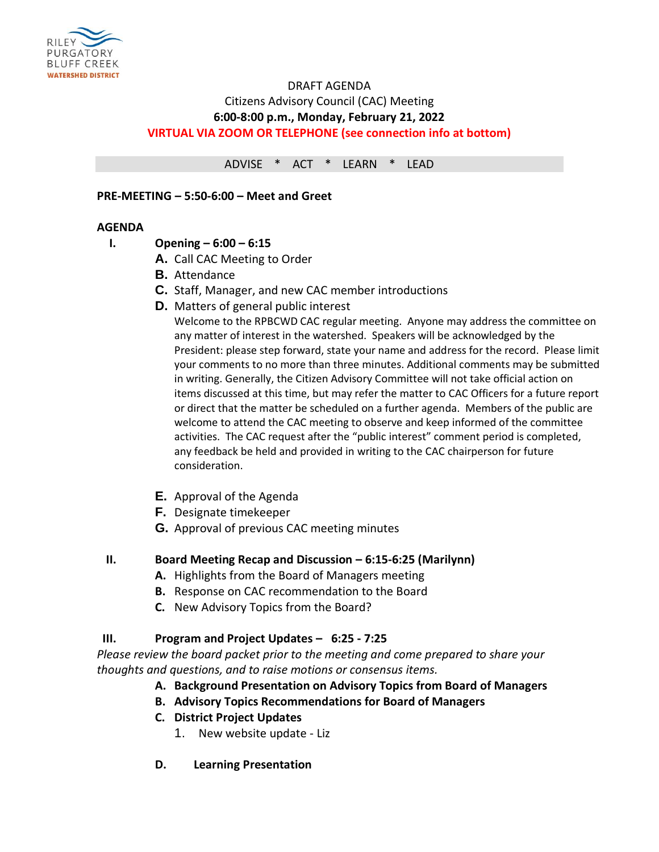

# DRAFT AGENDA Citizens Advisory Council (CAC) Meeting **6:00-8:00 p.m., Monday, February 21, 2022 VIRTUAL VIA ZOOM OR TELEPHONE (see connection info at bottom)**

ADVISE \* ACT \* LEARN \* LEAD

#### **PRE-MEETING – 5:50-6:00 – Meet and Greet**

### **AGENDA**

- **I. Opening – 6:00 – 6:15**
	- **A.** Call CAC Meeting to Order
	- **B.** Attendance
	- **C.** Staff, Manager, and new CAC member introductions
	- **D.** Matters of general public interest

Welcome to the RPBCWD CAC regular meeting. Anyone may address the committee on any matter of interest in the watershed. Speakers will be acknowledged by the President: please step forward, state your name and address for the record. Please limit your comments to no more than three minutes. Additional comments may be submitted in writing. Generally, the Citizen Advisory Committee will not take official action on items discussed at this time, but may refer the matter to CAC Officers for a future report or direct that the matter be scheduled on a further agenda. Members of the public are welcome to attend the CAC meeting to observe and keep informed of the committee activities. The CAC request after the "public interest" comment period is completed, any feedback be held and provided in writing to the CAC chairperson for future consideration.

- **E.** Approval of the Agenda
- **F.** Designate timekeeper
- **G.** Approval of previous CAC meeting minutes

### **II. Board Meeting Recap and Discussion – 6:15-6:25 (Marilynn)**

- **A.** Highlights from the Board of Managers meeting
- **B.** Response on CAC recommendation to the Board
- **C.** New Advisory Topics from the Board?

### **III. Program and Project Updates – 6:25 - 7:25**

*Please review the board packet prior to the meeting and come prepared to share your thoughts and questions, and to raise motions or consensus items.*

- **A. Background Presentation on Advisory Topics from Board of Managers**
- **B. Advisory Topics Recommendations for Board of Managers**
- **C. District Project Updates**
	- 1. New website update Liz
- **D. Learning Presentation**